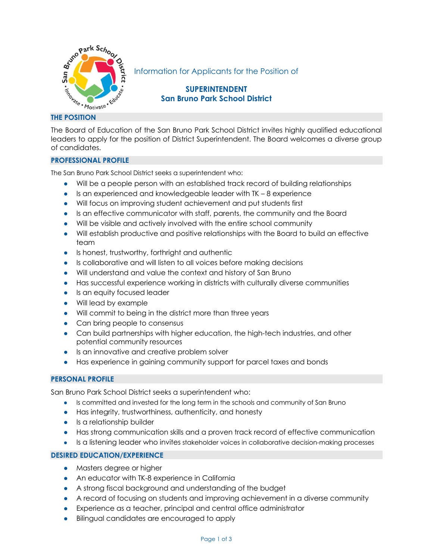

Information for Applicants for the Position of

# **SUPERINTENDENT San Bruno Park School District**

The Board of Education of the San Bruno Park School District invites highly qualified educational leaders to apply for the position of District Superintendent. The Board welcomes a diverse group of candidates.

# **PROFESSIONAL PROFILE**

The San Bruno Park School District seeks a superintendent who:

- Will be a people person with an established track record of building relationships
- $\bullet$  Is an experienced and knowledgeable leader with TK  $-8$  experience
- Will focus on improving student achievement and put students first
- Is an effective communicator with staff, parents, the community and the Board
- Will be visible and actively involved with the entire school community
- Will establish productive and positive relationships with the Board to build an effective team
- Is honest, trustworthy, forthright and authentic
- Is collaborative and will listen to all voices before making decisions
- Will understand and value the context and history of San Bruno
- Has successful experience working in districts with culturally diverse communities
- Is an equity focused leader
- Will lead by example
- Will commit to being in the district more than three years
- Can bring people to consensus
- Can build partnerships with higher education, the high-tech industries, and other potential community resources
- Is an innovative and creative problem solver
- Has experience in gaining community support for parcel taxes and bonds

# **PERSONAL PROFILE**

San Bruno Park School District seeks a superintendent who:

- Is committed and invested for the long term in the schools and community of San Bruno
- Has integrity, trustworthiness, authenticity, and honesty
- Is a relationship builder
- Has strong communication skills and a proven track record of effective communication
- Is a listening leader who invites stakeholder voices in collaborative decision-making processes

# **DESIRED EDUCATION/EXPERIENCE**

- Masters degree or higher
- An educator with TK-8 experience in California
- A strong fiscal background and understanding of the budget
- A record of focusing on students and improving achievement in a diverse community
- Experience as a teacher, principal and central office administrator
- Bilingual candidates are encouraged to apply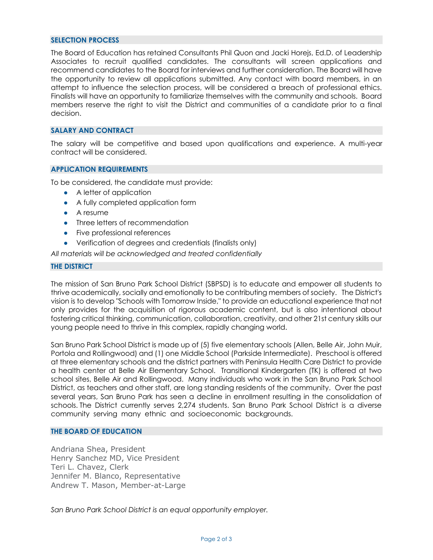#### **SELECTION PROCESS**

The Board of Education has retained Consultants Phil Quon and Jacki Horejs, Ed.D. of Leadership Associates to recruit qualified candidates. The consultants will screen applications and recommend candidates to the Board for interviews and further consideration. The Board will have the opportunity to review all applications submitted. Any contact with board members, in an attempt to influence the selection process, will be considered a breach of professional ethics. Finalists will have an opportunity to familiarize themselves with the community and schools. Board members reserve the right to visit the District and communities of a candidate prior to a final decision.

# **SALARY AND CONTRACT**

The salary will be competitive and based upon qualifications and experience. A multi-year contract will be considered.

### **APPLICATION REQUIREMENTS**

To be considered, the candidate must provide:

- A letter of application
- A fully completed application form
- A resume
- Three letters of recommendation
- Five professional references
- Verification of degrees and credentials (finalists only)

*All materials will be acknowledged and treated confidentially*

#### **THE DISTRICT**

The mission of San Bruno Park School District (SBPSD) is to educate and empower all students to thrive academically, socially and emotionally to be contributing members of society. The District's vision is to develop "Schools with Tomorrow Inside," to provide an educational experience that not only provides for the acquisition of rigorous academic content, but is also intentional about fostering critical thinking, communication, collaboration, creativity, and other 21st century skills our young people need to thrive in this complex, rapidly changing world.

San Bruno Park School District is made up of (5) five elementary schools (Allen, Belle Air, John Muir, Portola and Rollingwood) and (1) one Middle School (Parkside Intermediate). Preschool is offered at three elementary schools and the district partners with Peninsula Health Care District to provide a health center at Belle Air Elementary School. Transitional Kindergarten (TK) is offered at two school sites, Belle Air and Rollingwood. Many individuals who work in the San Bruno Park School District, as teachers and other staff, are long standing residents of the community. Over the past several years, San Bruno Park has seen a decline in enrollment resulting in the consolidation of schools. The District currently serves 2,274 students. San Bruno Park School District is a diverse community serving many ethnic and socioeconomic backgrounds.

#### **THE BOARD OF EDUCATION**

Andriana Shea, President Henry Sanchez MD, Vice President Teri L. Chavez, Clerk Jennifer M. Blanco, Representative Andrew T. Mason, Member-at-Large

*San Bruno Park School District is an equal opportunity employer.*